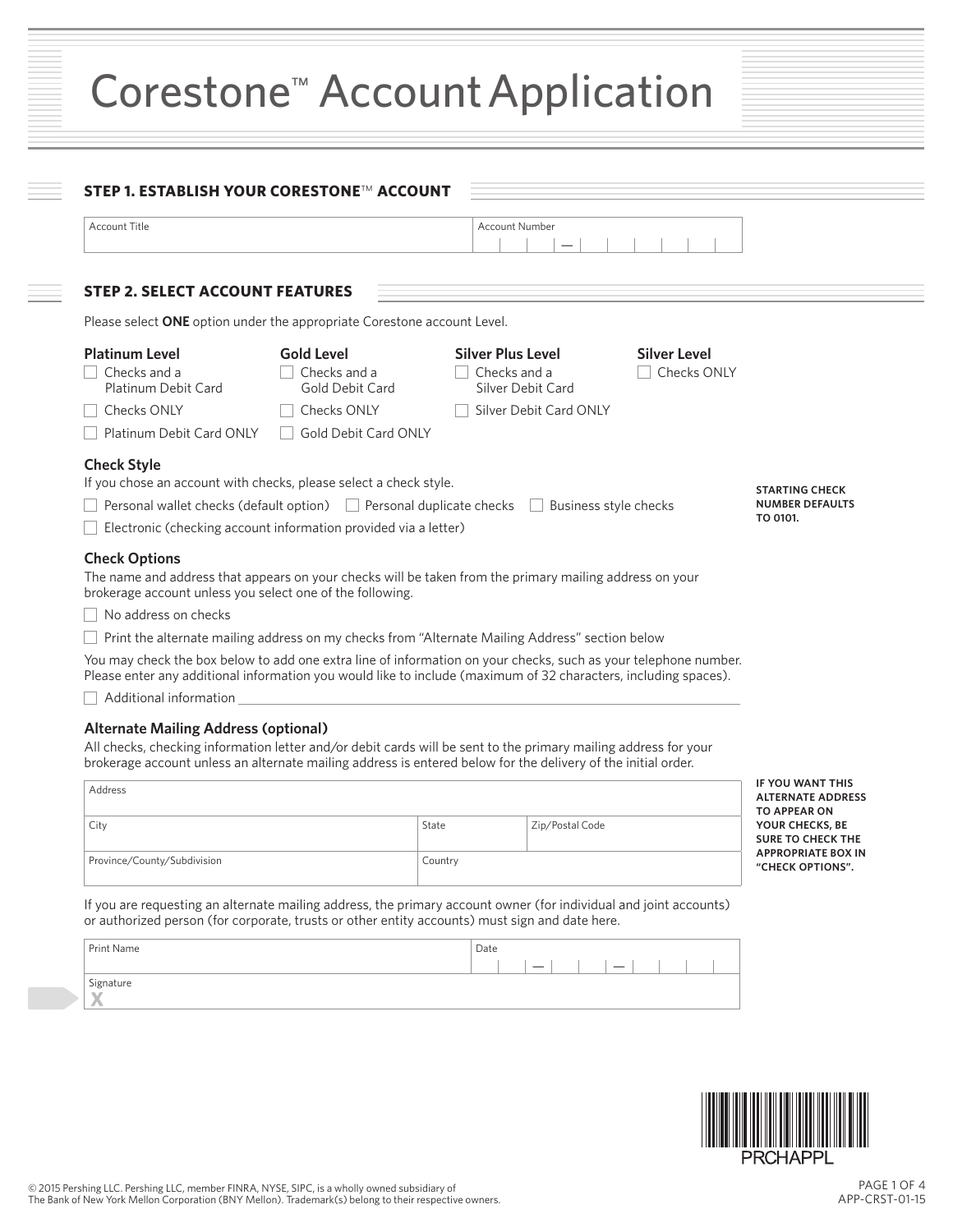| Corestone <sup>™</sup> Account Application |
|--------------------------------------------|
|--------------------------------------------|

| Account Title                                                                                                                                                                                                                                                                   |                                                                                                                                                            | <b>Account Number</b>                                         |                                                                                                                 |                                                                                                 |
|---------------------------------------------------------------------------------------------------------------------------------------------------------------------------------------------------------------------------------------------------------------------------------|------------------------------------------------------------------------------------------------------------------------------------------------------------|---------------------------------------------------------------|-----------------------------------------------------------------------------------------------------------------|-------------------------------------------------------------------------------------------------|
| <b>STEP 2. SELECT ACCOUNT FEATURES</b>                                                                                                                                                                                                                                          |                                                                                                                                                            |                                                               |                                                                                                                 |                                                                                                 |
| Please select ONE option under the appropriate Corestone account Level.                                                                                                                                                                                                         |                                                                                                                                                            |                                                               |                                                                                                                 |                                                                                                 |
| <b>Platinum Level</b><br>Checks and a<br>Platinum Debit Card                                                                                                                                                                                                                    | <b>Gold Level</b><br>Checks and a<br>Gold Debit Card                                                                                                       | <b>Silver Plus Level</b><br>Checks and a<br>Silver Debit Card | <b>Silver Level</b><br>□ Checks ONLY                                                                            |                                                                                                 |
| Checks ONLY                                                                                                                                                                                                                                                                     | Checks ONLY                                                                                                                                                | Silver Debit Card ONLY                                        |                                                                                                                 |                                                                                                 |
| Platinum Debit Card ONLY                                                                                                                                                                                                                                                        | <b>Gold Debit Card ONLY</b>                                                                                                                                |                                                               |                                                                                                                 |                                                                                                 |
|                                                                                                                                                                                                                                                                                 | Personal wallet checks (default option) Personal duplicate checks Business style checks<br>Electronic (checking account information provided via a letter) |                                                               |                                                                                                                 | <b>NUMBER DEFAULTS</b><br>TO 0101.                                                              |
| <b>Check Options</b><br>The name and address that appears on your checks will be taken from the primary mailing address on your                                                                                                                                                 |                                                                                                                                                            |                                                               |                                                                                                                 |                                                                                                 |
| brokerage account unless you select one of the following.                                                                                                                                                                                                                       |                                                                                                                                                            |                                                               |                                                                                                                 |                                                                                                 |
| No address on checks                                                                                                                                                                                                                                                            |                                                                                                                                                            |                                                               |                                                                                                                 |                                                                                                 |
|                                                                                                                                                                                                                                                                                 | Print the alternate mailing address on my checks from "Alternate Mailing Address" section below                                                            |                                                               |                                                                                                                 |                                                                                                 |
| Please enter any additional information you would like to include (maximum of 32 characters, including spaces).                                                                                                                                                                 |                                                                                                                                                            |                                                               | You may check the box below to add one extra line of information on your checks, such as your telephone number. |                                                                                                 |
| Additional information                                                                                                                                                                                                                                                          |                                                                                                                                                            |                                                               |                                                                                                                 |                                                                                                 |
|                                                                                                                                                                                                                                                                                 |                                                                                                                                                            |                                                               |                                                                                                                 | <b>IF YOU WANT THIS</b>                                                                         |
| <b>Alternate Mailing Address (optional)</b><br>All checks, checking information letter and/or debit cards will be sent to the primary mailing address for your<br>brokerage account unless an alternate mailing address is entered below for the delivery of the initial order. |                                                                                                                                                            |                                                               |                                                                                                                 |                                                                                                 |
| Address                                                                                                                                                                                                                                                                         |                                                                                                                                                            |                                                               |                                                                                                                 | <b>ALTERNATE ADDRESS</b>                                                                        |
| City                                                                                                                                                                                                                                                                            |                                                                                                                                                            | State                                                         | Zip/Postal Code                                                                                                 | <b>TO APPEAR ON</b><br>YOUR CHECKS, BE<br><b>SURE TO CHECK THE</b><br><b>APPROPRIATE BOX IN</b> |

| Print Name | Date |  |  |  |  |  |
|------------|------|--|--|--|--|--|
|            |      |  |  |  |  |  |
|            |      |  |  |  |  |  |
| Signature  |      |  |  |  |  |  |

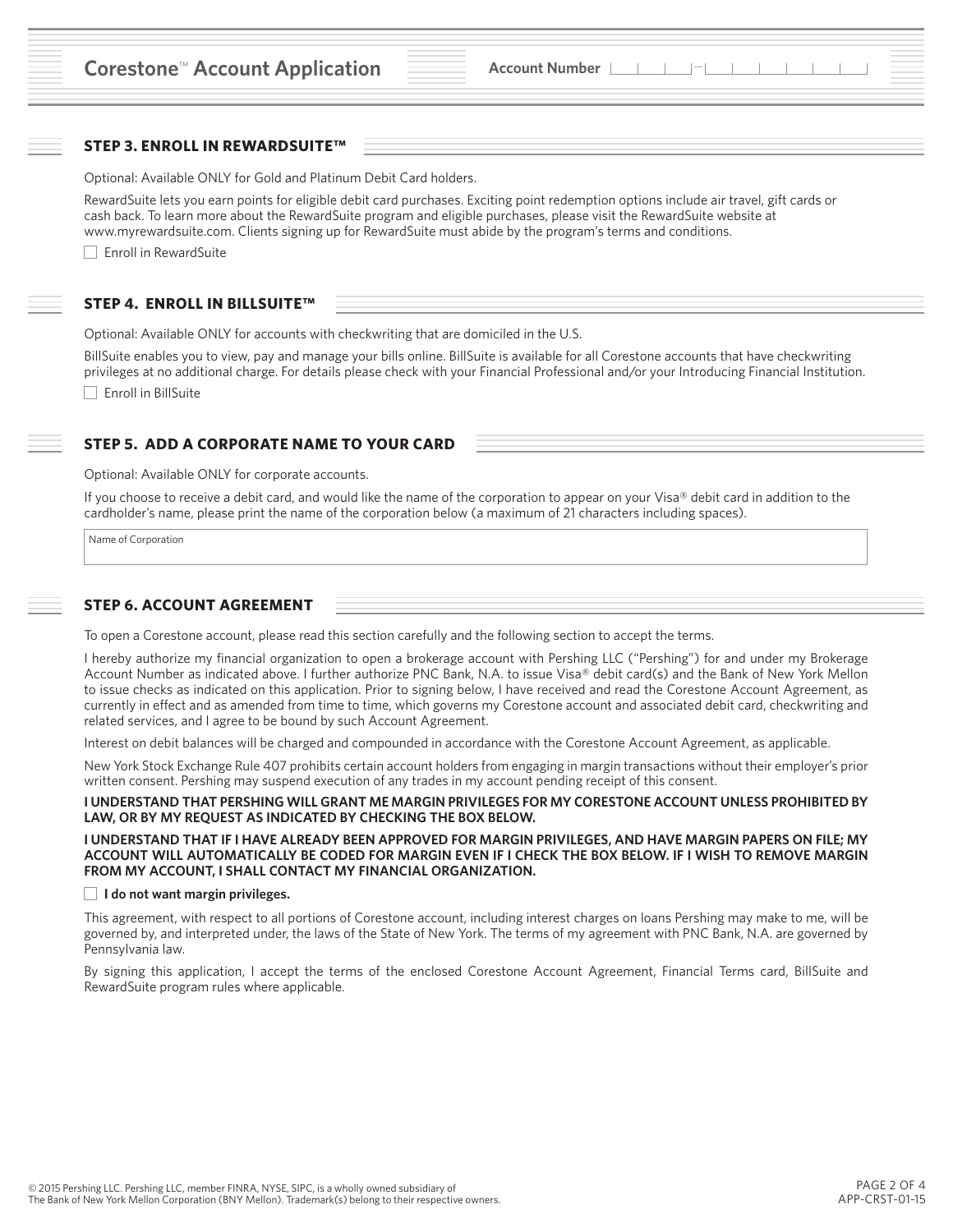### **STEP 3. ENROLL IN REWARDSUITE™**

Optional: Available ONLY for Gold and Platinum Debit Card holders.

RewardSuite lets you earn points for eligible debit card purchases. Exciting point redemption options include air travel, gift cards or cash back. To learn more about the RewardSuite program and eligible purchases, please visit the RewardSuite website at www.myrewardsuite.com. Clients signing up for RewardSuite must abide by the program's terms and conditions.

□ Enroll in RewardSuite

### **STEP 4. ENROLL IN BILLSUITE™**

Optional: Available ONLY for accounts with checkwriting that are domiciled in the U.S.

BillSuite enables you to view, pay and manage your bills online. BillSuite is available for all Corestone accounts that have checkwriting privileges at no additional charge. For details please check with your Financial Professional and/or your Introducing Financial Institution.

Enroll in BillSuite

# **STEP 5. ADD A CORPORATE NAME TO YOUR CARD**

Optional: Available ONLY for corporate accounts.

If you choose to receive a debit card, and would like the name of the corporation to appear on your Visa® debit card in addition to the cardholder's name, please print the name of the corporation below (a maximum of 21 characters including spaces).

Name of Corporation

#### **STEP 6. ACCOUNT AGREEMENT**

To open a Corestone account, please read this section carefully and the following section to accept the terms.

I hereby authorize my financial organization to open a brokerage account with Pershing LLC ("Pershing") for and under my Brokerage Account Number as indicated above. I further authorize PNC Bank, N.A. to issue Visa® debit card(s) and the Bank of New York Mellon to issue checks as indicated on this application. Prior to signing below, I have received and read the Corestone Account Agreement, as currently in effect and as amended from time to time, which governs my Corestone account and associated debit card, checkwriting and related services, and I agree to be bound by such Account Agreement.

Interest on debit balances will be charged and compounded in accordance with the Corestone Account Agreement, as applicable.

New York Stock Exchange Rule 407 prohibits certain account holders from engaging in margin transactions without their employer's prior written consent. Pershing may suspend execution of any trades in my account pending receipt of this consent.

**I UNDERSTAND THAT PERSHING WILL GRANT ME MARGIN PRIVILEGES FOR MY CORESTONE ACCOUNT UNLESS PROHIBITED BY LAW, OR BY MY REQUEST AS INDICATED BY CHECKING THE BOX BELOW.** 

**I UNDERSTAND THAT IF I HAVE ALREADY BEEN APPROVED FOR MARGIN PRIVILEGES, AND HAVE MARGIN PAPERS ON FILE; MY ACCOUNT WILL AUTOMATICALLY BE CODED FOR MARGIN EVEN IF I CHECK THE BOX BELOW. IF I WISH TO REMOVE MARGIN FROM MY ACCOUNT, I SHALL CONTACT MY FINANCIAL ORGANIZATION.**

#### **I do not want margin privileges.**

This agreement, with respect to all portions of Corestone account, including interest charges on loans Pershing may make to me, will be governed by, and interpreted under, the laws of the State of New York. The terms of my agreement with PNC Bank, N.A. are governed by Pennsylvania law.

By signing this application, I accept the terms of the enclosed Corestone Account Agreement, Financial Terms card, BillSuite and RewardSuite program rules where applicable.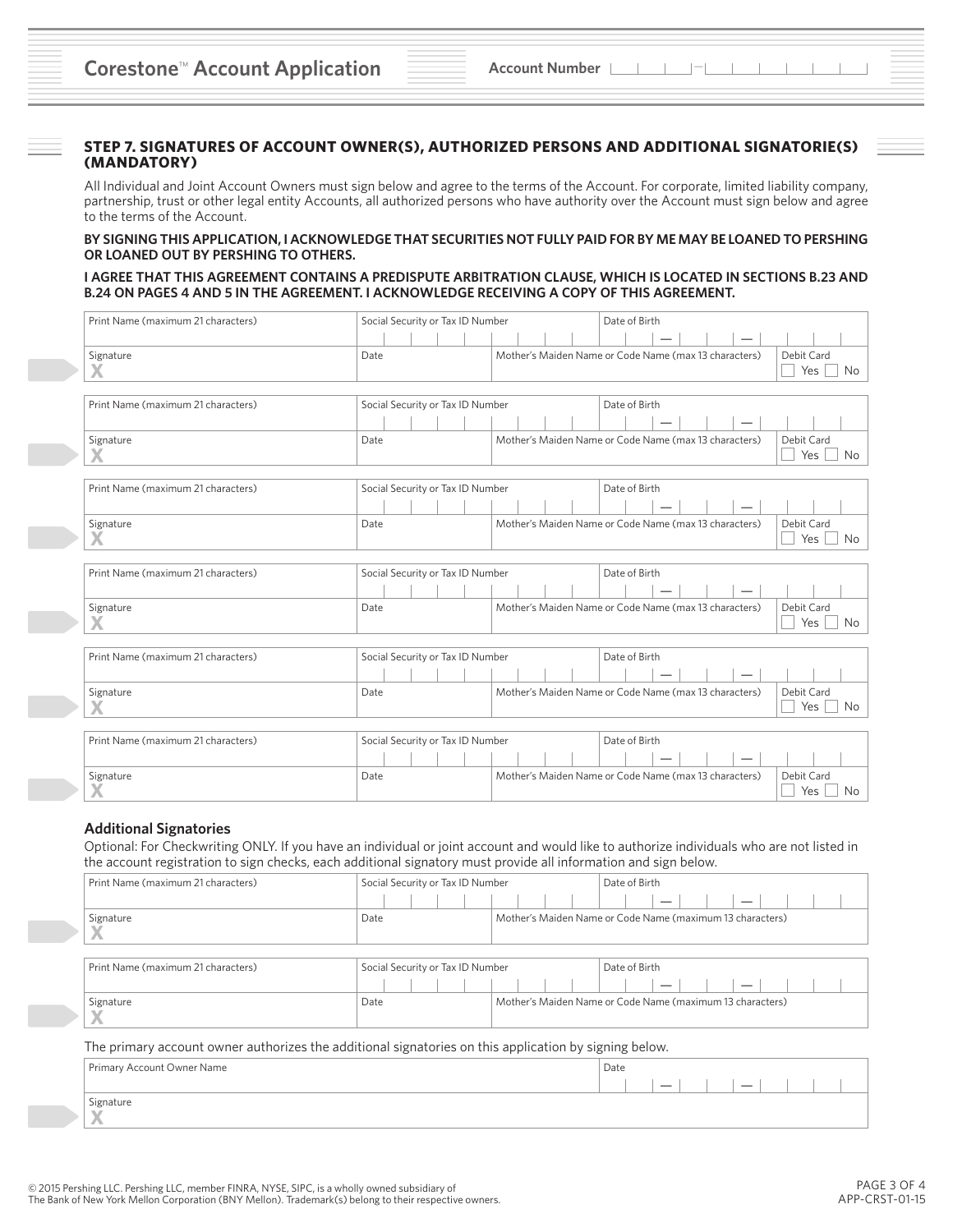### **STEP 7. SIGNATURES OF ACCOUNT OWNER(S), AUTHORIZED PERSONS AND ADDITIONAL SIGNATORIE(S) (MANDATORY)**

All Individual and Joint Account Owners must sign below and agree to the terms of the Account. For corporate, limited liability company, partnership, trust or other legal entity Accounts, all authorized persons who have authority over the Account must sign below and agree to the terms of the Account.

### **BY SIGNING THIS APPLICATION, I ACKNOWLEDGE THAT SECURITIES NOT FULLY PAID FOR BY ME MAY BE LOANED TO PERSHING OR LOANED OUT BY PERSHING TO OTHERS.**

#### **I AGREE THAT THIS AGREEMENT CONTAINS A PREDISPUTE ARBITRATION CLAUSE, WHICH IS LOCATED IN SECTIONS B.23 AND B.24 ON PAGES 4 AND 5 IN THE AGREEMENT. I ACKNOWLEDGE RECEIVING A COPY OF THIS AGREEMENT.**

| Print Name (maximum 21 characters) | Social Security or Tax ID Number                  |  |  |  |                                  | Date of Birth |               |  |                                                       |  |  |  |  |  |  |                   |  |     |
|------------------------------------|---------------------------------------------------|--|--|--|----------------------------------|---------------|---------------|--|-------------------------------------------------------|--|--|--|--|--|--|-------------------|--|-----|
|                                    |                                                   |  |  |  |                                  |               |               |  |                                                       |  |  |  |  |  |  |                   |  |     |
| Signature                          | Date                                              |  |  |  |                                  |               |               |  | Mother's Maiden Name or Code Name (max 13 characters) |  |  |  |  |  |  | Debit Card<br>Yes |  | No  |
| Print Name (maximum 21 characters) |                                                   |  |  |  |                                  |               |               |  |                                                       |  |  |  |  |  |  |                   |  |     |
|                                    | Social Security or Tax ID Number                  |  |  |  |                                  |               | Date of Birth |  |                                                       |  |  |  |  |  |  |                   |  |     |
| Signature                          | Date                                              |  |  |  |                                  |               |               |  | Mother's Maiden Name or Code Name (max 13 characters) |  |  |  |  |  |  | Debit Card<br>Yes |  | No  |
| Print Name (maximum 21 characters) |                                                   |  |  |  |                                  |               |               |  |                                                       |  |  |  |  |  |  |                   |  |     |
|                                    | Social Security or Tax ID Number<br>Date of Birth |  |  |  |                                  |               |               |  |                                                       |  |  |  |  |  |  |                   |  |     |
| Signature<br>X                     | Date                                              |  |  |  |                                  |               |               |  | Mother's Maiden Name or Code Name (max 13 characters) |  |  |  |  |  |  | Debit Card<br>Yes |  | No. |
|                                    |                                                   |  |  |  |                                  |               |               |  |                                                       |  |  |  |  |  |  |                   |  |     |
| Print Name (maximum 21 characters) | Social Security or Tax ID Number<br>Date of Birth |  |  |  |                                  |               |               |  |                                                       |  |  |  |  |  |  |                   |  |     |
|                                    |                                                   |  |  |  |                                  |               |               |  |                                                       |  |  |  |  |  |  |                   |  |     |
| Signature                          | Date                                              |  |  |  |                                  |               |               |  | Mother's Maiden Name or Code Name (max 13 characters) |  |  |  |  |  |  | Debit Card<br>Yes |  | No  |
|                                    |                                                   |  |  |  |                                  |               |               |  |                                                       |  |  |  |  |  |  |                   |  |     |
| Print Name (maximum 21 characters) | Social Security or Tax ID Number<br>Date of Birth |  |  |  |                                  |               |               |  |                                                       |  |  |  |  |  |  |                   |  |     |
|                                    |                                                   |  |  |  |                                  |               |               |  |                                                       |  |  |  |  |  |  |                   |  |     |
| Signature                          | Date                                              |  |  |  |                                  |               |               |  | Mother's Maiden Name or Code Name (max 13 characters) |  |  |  |  |  |  | Debit Card<br>Yes |  | No  |
|                                    |                                                   |  |  |  |                                  |               |               |  |                                                       |  |  |  |  |  |  |                   |  |     |
| Print Name (maximum 21 characters) |                                                   |  |  |  | Social Security or Tax ID Number |               |               |  | Date of Birth                                         |  |  |  |  |  |  |                   |  |     |
|                                    |                                                   |  |  |  |                                  |               |               |  |                                                       |  |  |  |  |  |  |                   |  |     |
| Signature                          | Date                                              |  |  |  |                                  |               |               |  | Mother's Maiden Name or Code Name (max 13 characters) |  |  |  |  |  |  | Debit Card<br>Yes |  | No  |

## **Additional Signatories**

Optional: For Checkwriting ONLY. If you have an individual or joint account and would like to authorize individuals who are not listed in the account registration to sign checks, each additional signatory must provide all information and sign below.

| Print Name (maximum 21 characters)                                                                    | Social Security or Tax ID Number |  | Date of Birth                                             |  |  |  |  |  |  |  |  |
|-------------------------------------------------------------------------------------------------------|----------------------------------|--|-----------------------------------------------------------|--|--|--|--|--|--|--|--|
|                                                                                                       |                                  |  |                                                           |  |  |  |  |  |  |  |  |
| Signature                                                                                             | Date                             |  | Mother's Maiden Name or Code Name (maximum 13 characters) |  |  |  |  |  |  |  |  |
| Print Name (maximum 21 characters)                                                                    | Social Security or Tax ID Number |  | Date of Birth                                             |  |  |  |  |  |  |  |  |
|                                                                                                       |                                  |  |                                                           |  |  |  |  |  |  |  |  |
| Signature                                                                                             | Date                             |  | Mother's Maiden Name or Code Name (maximum 13 characters) |  |  |  |  |  |  |  |  |
| The primary account owner authorizes the additional signatories on this application by signing below. |                                  |  |                                                           |  |  |  |  |  |  |  |  |
| Primary Account Owner Name                                                                            |                                  |  | Date                                                      |  |  |  |  |  |  |  |  |
|                                                                                                       |                                  |  |                                                           |  |  |  |  |  |  |  |  |
| Signature                                                                                             |                                  |  |                                                           |  |  |  |  |  |  |  |  |
|                                                                                                       |                                  |  |                                                           |  |  |  |  |  |  |  |  |